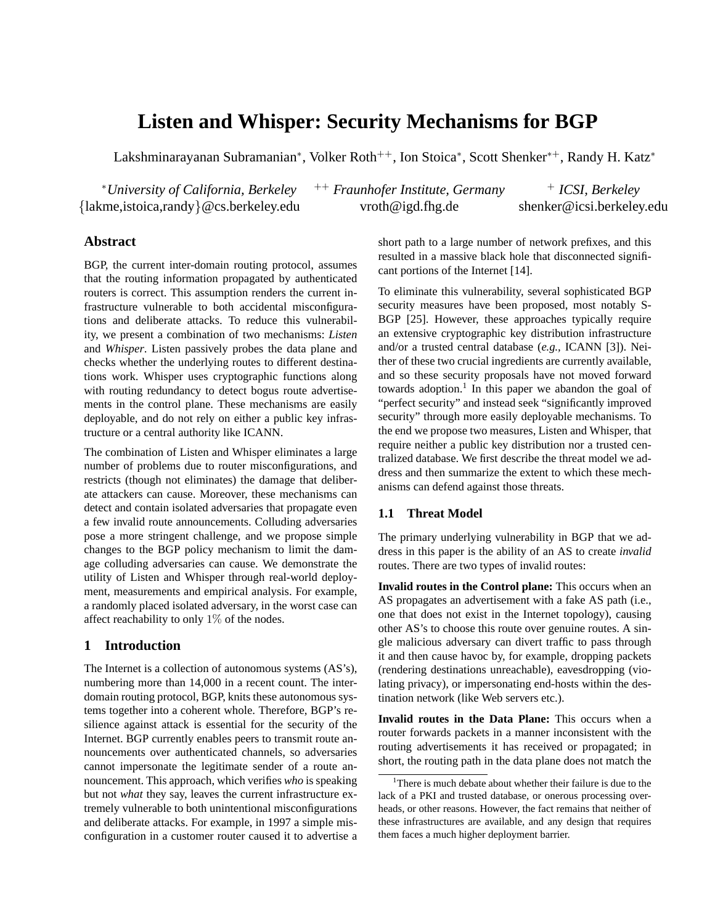# **Listen and Whisper: Security Mechanisms for BGP**

Lakshminarayanan Subramanian\*, Volker Roth<sup>++</sup>, Ion Stoica\*, Scott Shenker\*<sup>+</sup>, Randy H. Katz\*

<sup>∗</sup>*University of California, Berkeley* ++ *Fraunhofer Institute, Germany* <sup>+</sup> *ICSI, Berkeley* {lakme,istoica,randy}@cs.berkeley.edu vroth@igd.fhg.de shenker@icsi.berkeley.edu

# **Abstract**

BGP, the current inter-domain routing protocol, assumes that the routing information propagated by authenticated routers is correct. This assumption renders the current infrastructure vulnerable to both accidental misconfigurations and deliberate attacks. To reduce this vulnerability, we present a combination of two mechanisms: *Listen* and *Whisper*. Listen passively probes the data plane and checks whether the underlying routes to different destinations work. Whisper uses cryptographic functions along with routing redundancy to detect bogus route advertisements in the control plane. These mechanisms are easily deployable, and do not rely on either a public key infrastructure or a central authority like ICANN.

The combination of Listen and Whisper eliminates a large number of problems due to router misconfigurations, and restricts (though not eliminates) the damage that deliberate attackers can cause. Moreover, these mechanisms can detect and contain isolated adversaries that propagate even a few invalid route announcements. Colluding adversaries pose a more stringent challenge, and we propose simple changes to the BGP policy mechanism to limit the damage colluding adversaries can cause. We demonstrate the utility of Listen and Whisper through real-world deployment, measurements and empirical analysis. For example, a randomly placed isolated adversary, in the worst case can affect reachability to only 1% of the nodes.

# **1 Introduction**

The Internet is a collection of autonomous systems (AS's), numbering more than 14,000 in a recent count. The interdomain routing protocol, BGP, knits these autonomous systems together into a coherent whole. Therefore, BGP's resilience against attack is essential for the security of the Internet. BGP currently enables peers to transmit route announcements over authenticated channels, so adversaries cannot impersonate the legitimate sender of a route announcement. This approach, which verifies *who* is speaking but not *what* they say, leaves the current infrastructure extremely vulnerable to both unintentional misconfigurations and deliberate attacks. For example, in 1997 a simple misconfiguration in a customer router caused it to advertise a short path to a large number of network prefixes, and this resulted in a massive black hole that disconnected significant portions of the Internet [14].

To eliminate this vulnerability, several sophisticated BGP security measures have been proposed, most notably S-BGP [25]. However, these approaches typically require an extensive cryptographic key distribution infrastructure and/or a trusted central database (*e.g.,* ICANN [3]). Neither of these two crucial ingredients are currently available, and so these security proposals have not moved forward towards adoption.<sup>1</sup> In this paper we abandon the goal of "perfect security" and instead seek "significantly improved security" through more easily deployable mechanisms. To the end we propose two measures, Listen and Whisper, that require neither a public key distribution nor a trusted centralized database. We first describe the threat model we address and then summarize the extent to which these mechanisms can defend against those threats.

# **1.1 Threat Model**

The primary underlying vulnerability in BGP that we address in this paper is the ability of an AS to create *invalid* routes. There are two types of invalid routes:

**Invalid routes in the Control plane:** This occurs when an AS propagates an advertisement with a fake AS path (i.e., one that does not exist in the Internet topology), causing other AS's to choose this route over genuine routes. A single malicious adversary can divert traffic to pass through it and then cause havoc by, for example, dropping packets (rendering destinations unreachable), eavesdropping (violating privacy), or impersonating end-hosts within the destination network (like Web servers etc.).

**Invalid routes in the Data Plane:** This occurs when a router forwards packets in a manner inconsistent with the routing advertisements it has received or propagated; in short, the routing path in the data plane does not match the

<sup>&</sup>lt;sup>1</sup>There is much debate about whether their failure is due to the lack of a PKI and trusted database, or onerous processing overheads, or other reasons. However, the fact remains that neither of these infrastructures are available, and any design that requires them faces a much higher deployment barrier.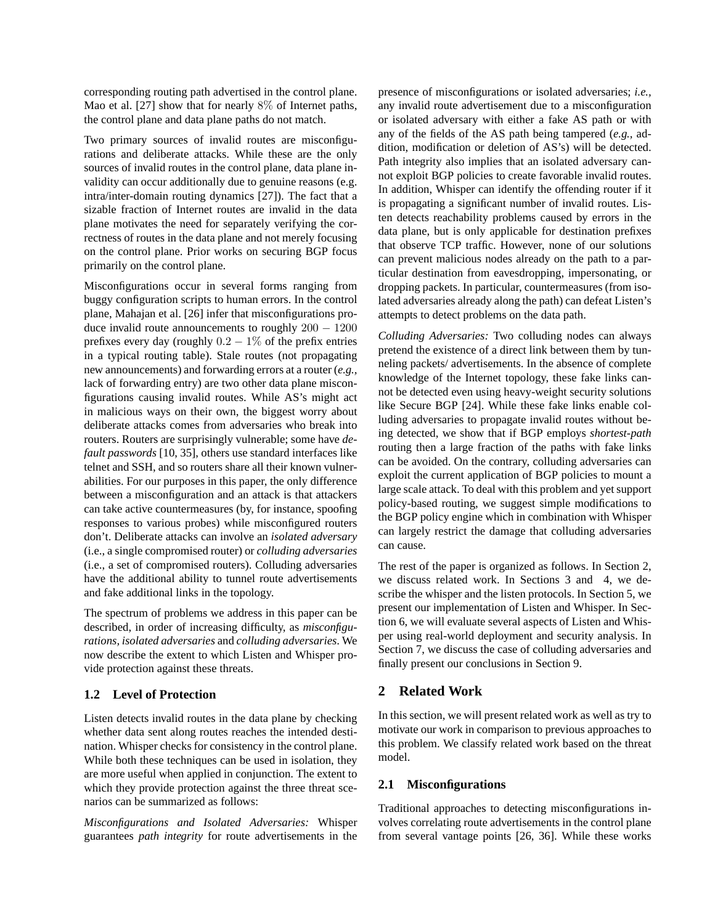corresponding routing path advertised in the control plane. Mao et al. [27] show that for nearly 8% of Internet paths, the control plane and data plane paths do not match.

Two primary sources of invalid routes are misconfigurations and deliberate attacks. While these are the only sources of invalid routes in the control plane, data plane invalidity can occur additionally due to genuine reasons (e.g. intra/inter-domain routing dynamics [27]). The fact that a sizable fraction of Internet routes are invalid in the data plane motivates the need for separately verifying the correctness of routes in the data plane and not merely focusing on the control plane. Prior works on securing BGP focus primarily on the control plane.

Misconfigurations occur in several forms ranging from buggy configuration scripts to human errors. In the control plane, Mahajan et al. [26] infer that misconfigurations produce invalid route announcements to roughly 200 − 1200 prefixes every day (roughly  $0.2 - 1\%$  of the prefix entries in a typical routing table). Stale routes (not propagating new announcements) and forwarding errors at a router (*e.g.,* lack of forwarding entry) are two other data plane misconfigurations causing invalid routes. While AS's might act in malicious ways on their own, the biggest worry about deliberate attacks comes from adversaries who break into routers. Routers are surprisingly vulnerable; some have *default passwords* [10, 35], others use standard interfaces like telnet and SSH, and so routers share all their known vulnerabilities. For our purposes in this paper, the only difference between a misconfiguration and an attack is that attackers can take active countermeasures (by, for instance, spoofing responses to various probes) while misconfigured routers don't. Deliberate attacks can involve an *isolated adversary* (i.e., a single compromised router) or *colluding adversaries* (i.e., a set of compromised routers). Colluding adversaries have the additional ability to tunnel route advertisements and fake additional links in the topology.

The spectrum of problems we address in this paper can be described, in order of increasing difficulty, as *misconfigurations, isolated adversaries* and *colluding adversaries*. We now describe the extent to which Listen and Whisper provide protection against these threats.

# **1.2 Level of Protection**

Listen detects invalid routes in the data plane by checking whether data sent along routes reaches the intended destination. Whisper checks for consistency in the control plane. While both these techniques can be used in isolation, they are more useful when applied in conjunction. The extent to which they provide protection against the three threat scenarios can be summarized as follows:

*Misconfigurations and Isolated Adversaries:* Whisper guarantees *path integrity* for route advertisements in the presence of misconfigurations or isolated adversaries; *i.e.,* any invalid route advertisement due to a misconfiguration or isolated adversary with either a fake AS path or with any of the fields of the AS path being tampered (*e.g.,* addition, modification or deletion of AS's) will be detected. Path integrity also implies that an isolated adversary cannot exploit BGP policies to create favorable invalid routes. In addition, Whisper can identify the offending router if it is propagating a significant number of invalid routes. Listen detects reachability problems caused by errors in the data plane, but is only applicable for destination prefixes that observe TCP traffic. However, none of our solutions can prevent malicious nodes already on the path to a particular destination from eavesdropping, impersonating, or dropping packets. In particular, countermeasures (from isolated adversaries already along the path) can defeat Listen's attempts to detect problems on the data path.

*Colluding Adversaries:* Two colluding nodes can always pretend the existence of a direct link between them by tunneling packets/ advertisements. In the absence of complete knowledge of the Internet topology, these fake links cannot be detected even using heavy-weight security solutions like Secure BGP [24]. While these fake links enable colluding adversaries to propagate invalid routes without being detected, we show that if BGP employs *shortest-path* routing then a large fraction of the paths with fake links can be avoided. On the contrary, colluding adversaries can exploit the current application of BGP policies to mount a large scale attack. To deal with this problem and yet support policy-based routing, we suggest simple modifications to the BGP policy engine which in combination with Whisper can largely restrict the damage that colluding adversaries can cause.

The rest of the paper is organized as follows. In Section 2, we discuss related work. In Sections 3 and 4, we describe the whisper and the listen protocols. In Section 5, we present our implementation of Listen and Whisper. In Section 6, we will evaluate several aspects of Listen and Whisper using real-world deployment and security analysis. In Section 7, we discuss the case of colluding adversaries and finally present our conclusions in Section 9.

# **2 Related Work**

In this section, we will present related work as well as try to motivate our work in comparison to previous approaches to this problem. We classify related work based on the threat model.

# **2.1 Misconfigurations**

Traditional approaches to detecting misconfigurations involves correlating route advertisements in the control plane from several vantage points [26, 36]. While these works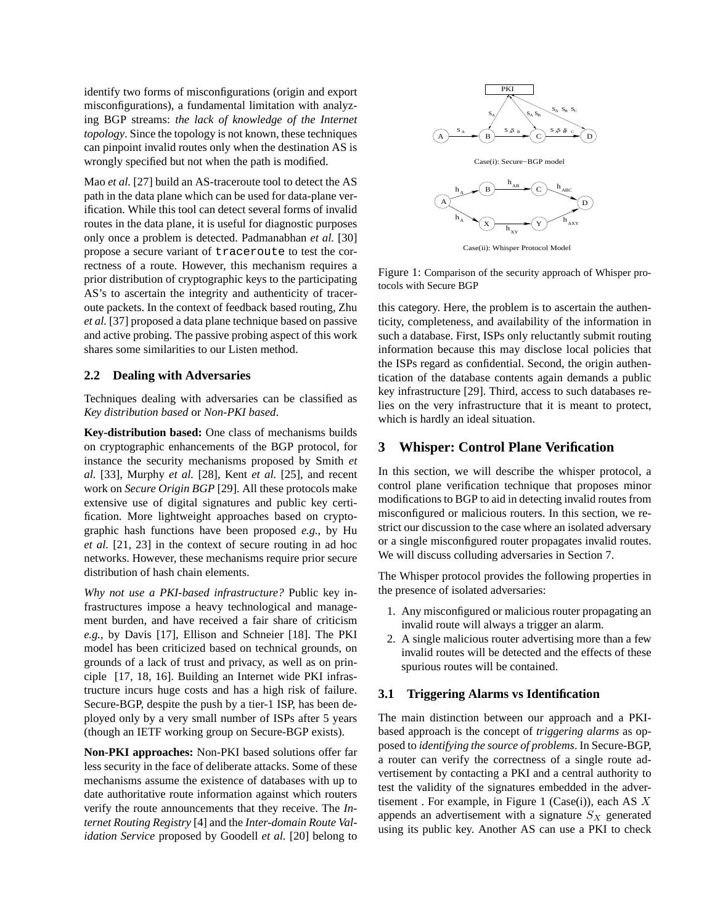identify two forms of misconfigurations (origin and export misconfigurations), a fundamental limitation with analyzing BGP streams: *the lack of knowledge of the Internet topology*. Since the topology is not known, these techniques can pinpoint invalid routes only when the destination AS is wrongly specified but not when the path is modified.

Mao *et al.* [27] build an AS-traceroute tool to detect the AS path in the data plane which can be used for data-plane verification. While this tool can detect several forms of invalid routes in the data plane, it is useful for diagnostic purposes only once a problem is detected. Padmanabhan *et al.* [30] propose a secure variant of traceroute to test the correctness of a route. However, this mechanism requires a prior distribution of cryptographic keys to the participating AS's to ascertain the integrity and authenticity of traceroute packets. In the context of feedback based routing, Zhu *et al.* [37] proposed a data plane technique based on passive and active probing. The passive probing aspect of this work shares some similarities to our Listen method.

# **2.2 Dealing with Adversaries**

Techniques dealing with adversaries can be classified as *Key distribution based* or *Non-PKI based*.

**Key-distribution based:** One class of mechanisms builds on cryptographic enhancements of the BGP protocol, for instance the security mechanisms proposed by Smith *et al.* [33], Murphy *et al.* [28], Kent *et al.* [25], and recent work on *Secure Origin BGP* [29]. All these protocols make extensive use of digital signatures and public key certification. More lightweight approaches based on cryptographic hash functions have been proposed *e.g.,* by Hu *et al.* [21, 23] in the context of secure routing in ad hoc networks. However, these mechanisms require prior secure distribution of hash chain elements.

*Why not use a PKI-based infrastructure?* Public key infrastructures impose a heavy technological and management burden, and have received a fair share of criticism *e.g.,* by Davis [17], Ellison and Schneier [18]. The PKI model has been criticized based on technical grounds, on grounds of a lack of trust and privacy, as well as on principle [17, 18, 16]. Building an Internet wide PKI infrastructure incurs huge costs and has a high risk of failure. Secure-BGP, despite the push by a tier-1 ISP, has been deployed only by a very small number of ISPs after 5 years (though an IETF working group on Secure-BGP exists).

**Non-PKI approaches:** Non-PKI based solutions offer far less security in the face of deliberate attacks. Some of these mechanisms assume the existence of databases with up to date authoritative route information against which routers verify the route announcements that they receive. The *Internet Routing Registry* [4] and the *Inter-domain Route Validation Service* proposed by Goodell *et al.* [20] belong to



Case(ii): Whisper Protocol Model

Figure 1: Comparison of the security approach of Whisper protocols with Secure BGP

this category. Here, the problem is to ascertain the authenticity, completeness, and availability of the information in such a database. First, ISPs only reluctantly submit routing information because this may disclose local policies that the ISPs regard as confidential. Second, the origin authentication of the database contents again demands a public key infrastructure [29]. Third, access to such databases relies on the very infrastructure that it is meant to protect, which is hardly an ideal situation.

# **3 Whisper: Control Plane Verification**

In this section, we will describe the whisper protocol, a control plane verification technique that proposes minor modifications to BGP to aid in detecting invalid routes from misconfigured or malicious routers. In this section, we restrict our discussion to the case where an isolated adversary or a single misconfigured router propagates invalid routes. We will discuss colluding adversaries in Section 7.

The Whisper protocol provides the following properties in the presence of isolated adversaries:

- 1. Any misconfigured or malicious router propagating an invalid route will always a trigger an alarm.
- 2. A single malicious router advertising more than a few invalid routes will be detected and the effects of these spurious routes will be contained.

# **3.1 Triggering Alarms vs Identification**

The main distinction between our approach and a PKIbased approach is the concept of *triggering alarms* as opposed to *identifying the source of problems*. In Secure-BGP, a router can verify the correctness of a single route advertisement by contacting a PKI and a central authority to test the validity of the signatures embedded in the advertisement . For example, in Figure 1 (Case(i)), each AS  $X$ appends an advertisement with a signature  $S_X$  generated using its public key. Another AS can use a PKI to check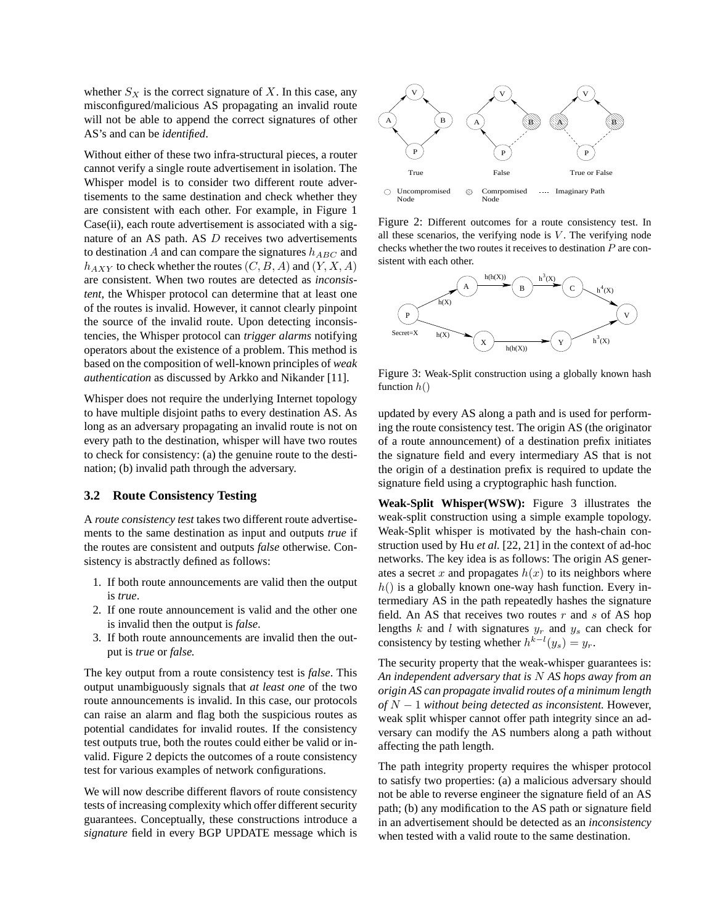whether  $S_X$  is the correct signature of X. In this case, any misconfigured/malicious AS propagating an invalid route will not be able to append the correct signatures of other AS's and can be *identified*.

Without either of these two infra-structural pieces, a router cannot verify a single route advertisement in isolation. The Whisper model is to consider two different route advertisements to the same destination and check whether they are consistent with each other. For example, in Figure 1 Case(ii), each route advertisement is associated with a signature of an AS path. AS D receives two advertisements to destination  $A$  and can compare the signatures  $h_{ABC}$  and  $h_{AXY}$  to check whether the routes  $(C, B, A)$  and  $(Y, X, A)$ are consistent. When two routes are detected as *inconsistent*, the Whisper protocol can determine that at least one of the routes is invalid. However, it cannot clearly pinpoint the source of the invalid route. Upon detecting inconsistencies, the Whisper protocol can *trigger alarms* notifying operators about the existence of a problem. This method is based on the composition of well-known principles of *weak authentication* as discussed by Arkko and Nikander [11].

Whisper does not require the underlying Internet topology to have multiple disjoint paths to every destination AS. As long as an adversary propagating an invalid route is not on every path to the destination, whisper will have two routes to check for consistency: (a) the genuine route to the destination; (b) invalid path through the adversary.

#### **3.2 Route Consistency Testing**

A *route consistency test* takes two different route advertisements to the same destination as input and outputs *true* if the routes are consistent and outputs *false* otherwise. Consistency is abstractly defined as follows:

- 1. If both route announcements are valid then the output is *true*.
- 2. If one route announcement is valid and the other one is invalid then the output is *false*.
- 3. If both route announcements are invalid then the output is *true* or *false.*

The key output from a route consistency test is *false*. This output unambiguously signals that *at least one* of the two route announcements is invalid. In this case, our protocols can raise an alarm and flag both the suspicious routes as potential candidates for invalid routes. If the consistency test outputs true, both the routes could either be valid or invalid. Figure 2 depicts the outcomes of a route consistency test for various examples of network configurations.

We will now describe different flavors of route consistency tests of increasing complexity which offer different security guarantees. Conceptually, these constructions introduce a *signature* field in every BGP UPDATE message which is



Figure 2: Different outcomes for a route consistency test. In all these scenarios, the verifying node is  $V$ . The verifying node checks whether the two routes it receives to destination  $P$  are consistent with each other.



Figure 3: Weak-Split construction using a globally known hash function  $h()$ 

updated by every AS along a path and is used for performing the route consistency test. The origin AS (the originator of a route announcement) of a destination prefix initiates the signature field and every intermediary AS that is not the origin of a destination prefix is required to update the signature field using a cryptographic hash function.

**Weak-Split Whisper(WSW):** Figure 3 illustrates the weak-split construction using a simple example topology. Weak-Split whisper is motivated by the hash-chain construction used by Hu *et al.* [22, 21] in the context of ad-hoc networks. The key idea is as follows: The origin AS generates a secret x and propagates  $h(x)$  to its neighbors where  $h()$  is a globally known one-way hash function. Every intermediary AS in the path repeatedly hashes the signature field. An AS that receives two routes  $r$  and  $s$  of AS hop lengths  $k$  and  $l$  with signatures  $y_r$  and  $y_s$  can check for consistency by testing whether  $h^{k-l}(y_s) = y_r$ .

The security property that the weak-whisper guarantees is: *An independent adversary that is* N *AS hops away from an origin AS can propagate invalid routes of a minimum length of* N − 1 *without being detected as inconsistent.* However, weak split whisper cannot offer path integrity since an adversary can modify the AS numbers along a path without affecting the path length.

The path integrity property requires the whisper protocol to satisfy two properties: (a) a malicious adversary should not be able to reverse engineer the signature field of an AS path; (b) any modification to the AS path or signature field in an advertisement should be detected as an *inconsistency* when tested with a valid route to the same destination.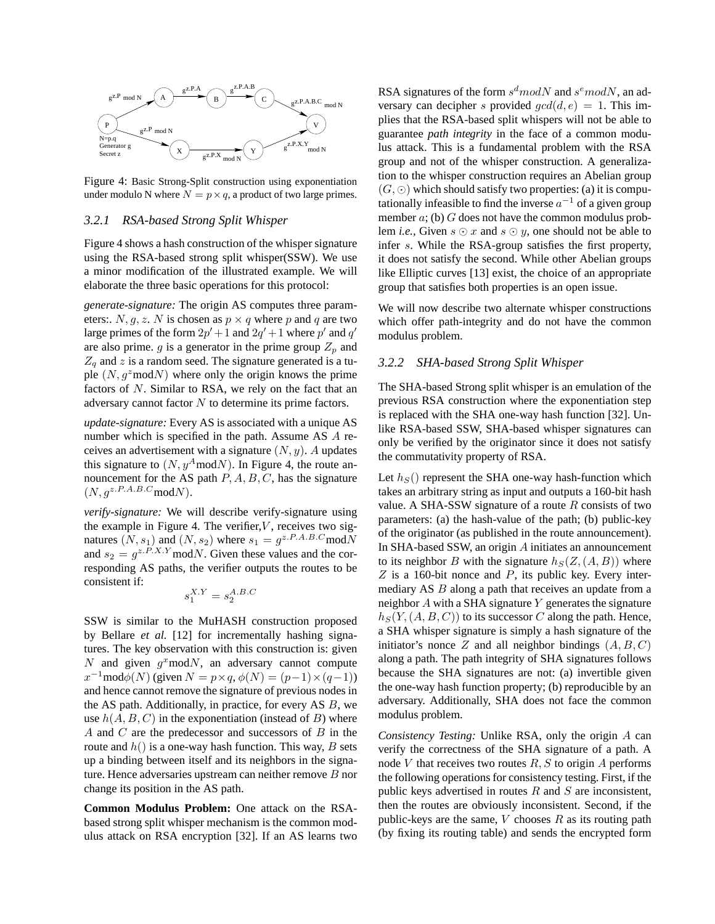

Figure 4: Basic Strong-Split construction using exponentiation under modulo N where  $N = p \times q$ , a product of two large primes.

#### *3.2.1 RSA-based Strong Split Whisper*

Figure 4 shows a hash construction of the whisper signature using the RSA-based strong split whisper(SSW). We use a minor modification of the illustrated example. We will elaborate the three basic operations for this protocol:

*generate-signature:* The origin AS computes three parameters:  $N, g, z$ . N is chosen as  $p \times q$  where p and q are two large primes of the form  $2p' + 1$  and  $2q' + 1$  where  $p'$  and  $q'$ are also prime. g is a generator in the prime group  $Z_p$  and  $Z_q$  and z is a random seed. The signature generated is a tuple  $(N, g^2 \text{mod}N)$  where only the origin knows the prime factors of N. Similar to RSA, we rely on the fact that an adversary cannot factor N to determine its prime factors.

*update-signature:* Every AS is associated with a unique AS number which is specified in the path. Assume AS A receives an advertisement with a signature  $(N, y)$ . A updates this signature to  $(N, y^A \text{mod} N)$ . In Figure 4, the route announcement for the AS path  $P, A, B, C$ , has the signature  $(N, q^{z.P.A.B.C} \text{mod} N).$ 

*verify-signature:* We will describe verify-signature using the example in Figure 4. The verifier,  $V$ , receives two signatures  $(N, s_1)$  and  $(N, s_2)$  where  $s_1 = g^{z.P.A.B.C}$  mod N and  $s_2 = g^{z.P.X.Y}$  mod $N$ . Given these values and the corresponding AS paths, the verifier outputs the routes to be consistent if:

$$
s_1^{X,Y}=s_2^{A.B.C}\,
$$

SSW is similar to the MuHASH construction proposed by Bellare *et al.* [12] for incrementally hashing signatures. The key observation with this construction is: given N and given  $g^x \text{mod} N$ , an adversary cannot compute  $x^{-1}$ mod $\phi(N)$  (given  $N = p \times q$ ,  $\phi(N) = (p-1) \times (q-1)$ ) and hence cannot remove the signature of previous nodes in the AS path. Additionally, in practice, for every AS B, we use  $h(A, B, C)$  in the exponentiation (instead of B) where A and C are the predecessor and successors of B in the route and  $h()$  is a one-way hash function. This way, B sets up a binding between itself and its neighbors in the signature. Hence adversaries upstream can neither remove  $B$  nor change its position in the AS path.

**Common Modulus Problem:** One attack on the RSAbased strong split whisper mechanism is the common modulus attack on RSA encryption [32]. If an AS learns two

RSA signatures of the form  $s^d$  modN and  $s^e$  modN, an adversary can decipher s provided  $gcd(d, e) = 1$ . This implies that the RSA-based split whispers will not be able to guarantee *path integrity* in the face of a common modulus attack. This is a fundamental problem with the RSA group and not of the whisper construction. A generalization to the whisper construction requires an Abelian group  $(G, \odot)$  which should satisfy two properties: (a) it is computationally infeasible to find the inverse  $a^{-1}$  of a given group member  $a$ ; (b)  $G$  does not have the common modulus problem *i.e.*, Given  $s \odot x$  and  $s \odot y$ , one should not be able to infer s. While the RSA-group satisfies the first property, it does not satisfy the second. While other Abelian groups like Elliptic curves [13] exist, the choice of an appropriate group that satisfies both properties is an open issue.

We will now describe two alternate whisper constructions which offer path-integrity and do not have the common modulus problem.

#### *3.2.2 SHA-based Strong Split Whisper*

The SHA-based Strong split whisper is an emulation of the previous RSA construction where the exponentiation step is replaced with the SHA one-way hash function [32]. Unlike RSA-based SSW, SHA-based whisper signatures can only be verified by the originator since it does not satisfy the commutativity property of RSA.

Let  $h<sub>S</sub>($ ) represent the SHA one-way hash-function which takes an arbitrary string as input and outputs a 160-bit hash value. A SHA-SSW signature of a route  $R$  consists of two parameters: (a) the hash-value of the path; (b) public-key of the originator (as published in the route announcement). In SHA-based SSW, an origin A initiates an announcement to its neighbor B with the signature  $h<sub>S</sub>(Z,(A, B))$  where  $Z$  is a 160-bit nonce and  $P$ , its public key. Every intermediary AS B along a path that receives an update from a neighbor  $A$  with a SHA signature  $Y$  generates the signature  $h<sub>S</sub>(Y, (A, B, C))$  to its successor C along the path. Hence, a SHA whisper signature is simply a hash signature of the initiator's nonce Z and all neighbor bindings  $(A, B, C)$ along a path. The path integrity of SHA signatures follows because the SHA signatures are not: (a) invertible given the one-way hash function property; (b) reproducible by an adversary. Additionally, SHA does not face the common modulus problem.

*Consistency Testing:* Unlike RSA, only the origin A can verify the correctness of the SHA signature of a path. A node  $V$  that receives two routes  $R, S$  to origin  $A$  performs the following operations for consistency testing. First, if the public keys advertised in routes  $R$  and  $S$  are inconsistent, then the routes are obviously inconsistent. Second, if the public-keys are the same,  $V$  chooses  $R$  as its routing path (by fixing its routing table) and sends the encrypted form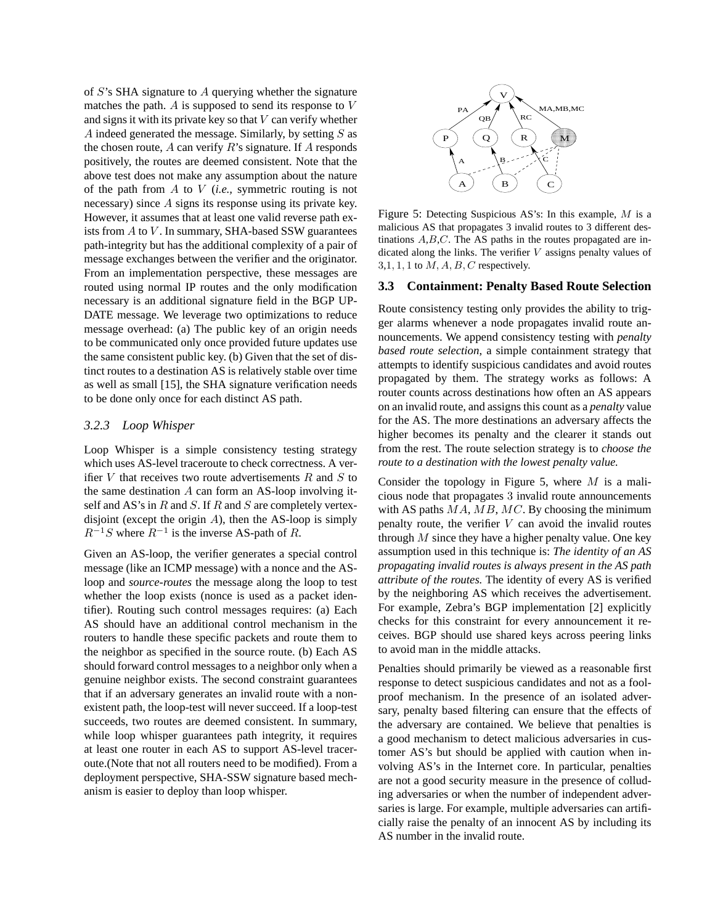of S's SHA signature to A querying whether the signature matches the path. A is supposed to send its response to V and signs it with its private key so that  $V$  can verify whether A indeed generated the message. Similarly, by setting  $S$  as the chosen route,  $A$  can verify  $R$ 's signature. If  $A$  responds positively, the routes are deemed consistent. Note that the above test does not make any assumption about the nature of the path from A to V (*i.e.,* symmetric routing is not necessary) since A signs its response using its private key. However, it assumes that at least one valid reverse path exists from  $A$  to  $V$ . In summary, SHA-based SSW guarantees path-integrity but has the additional complexity of a pair of message exchanges between the verifier and the originator. From an implementation perspective, these messages are routed using normal IP routes and the only modification necessary is an additional signature field in the BGP UP-DATE message. We leverage two optimizations to reduce message overhead: (a) The public key of an origin needs to be communicated only once provided future updates use the same consistent public key. (b) Given that the set of distinct routes to a destination AS is relatively stable over time as well as small [15], the SHA signature verification needs to be done only once for each distinct AS path.

# *3.2.3 Loop Whisper*

Loop Whisper is a simple consistency testing strategy which uses AS-level traceroute to check correctness. A verifier V that receives two route advertisements  $R$  and  $S$  to the same destination A can form an AS-loop involving itself and AS's in  $R$  and  $S$ . If  $R$  and  $S$  are completely vertexdisjoint (except the origin  $A$ ), then the AS-loop is simply  $R^{-1}S$  where  $R^{-1}$  is the inverse AS-path of R.

Given an AS-loop, the verifier generates a special control message (like an ICMP message) with a nonce and the ASloop and *source-routes* the message along the loop to test whether the loop exists (nonce is used as a packet identifier). Routing such control messages requires: (a) Each AS should have an additional control mechanism in the routers to handle these specific packets and route them to the neighbor as specified in the source route. (b) Each AS should forward control messages to a neighbor only when a genuine neighbor exists. The second constraint guarantees that if an adversary generates an invalid route with a nonexistent path, the loop-test will never succeed. If a loop-test succeeds, two routes are deemed consistent. In summary, while loop whisper guarantees path integrity, it requires at least one router in each AS to support AS-level traceroute.(Note that not all routers need to be modified). From a deployment perspective, SHA-SSW signature based mechanism is easier to deploy than loop whisper.



Figure 5: Detecting Suspicious AS's: In this example, M is a malicious AS that propagates 3 invalid routes to 3 different destinations  $A, B, C$ . The AS paths in the routes propagated are indicated along the links. The verifier  $V$  assigns penalty values of  $3,1, 1, 1$  to  $M, A, B, C$  respectively.

#### **3.3 Containment: Penalty Based Route Selection**

Route consistency testing only provides the ability to trigger alarms whenever a node propagates invalid route announcements. We append consistency testing with *penalty based route selection*, a simple containment strategy that attempts to identify suspicious candidates and avoid routes propagated by them. The strategy works as follows: A router counts across destinations how often an AS appears on an invalid route, and assigns this count as a *penalty* value for the AS. The more destinations an adversary affects the higher becomes its penalty and the clearer it stands out from the rest. The route selection strategy is to *choose the route to a destination with the lowest penalty value.*

Consider the topology in Figure 5, where  $M$  is a malicious node that propagates 3 invalid route announcements with AS paths  $MA$ ,  $MB$ ,  $MC$ . By choosing the minimum penalty route, the verifier  $V$  can avoid the invalid routes through  $M$  since they have a higher penalty value. One key assumption used in this technique is: *The identity of an AS propagating invalid routes is always present in the AS path attribute of the routes.* The identity of every AS is verified by the neighboring AS which receives the advertisement. For example, Zebra's BGP implementation [2] explicitly checks for this constraint for every announcement it receives. BGP should use shared keys across peering links to avoid man in the middle attacks.

Penalties should primarily be viewed as a reasonable first response to detect suspicious candidates and not as a foolproof mechanism. In the presence of an isolated adversary, penalty based filtering can ensure that the effects of the adversary are contained. We believe that penalties is a good mechanism to detect malicious adversaries in customer AS's but should be applied with caution when involving AS's in the Internet core. In particular, penalties are not a good security measure in the presence of colluding adversaries or when the number of independent adversaries is large. For example, multiple adversaries can artificially raise the penalty of an innocent AS by including its AS number in the invalid route.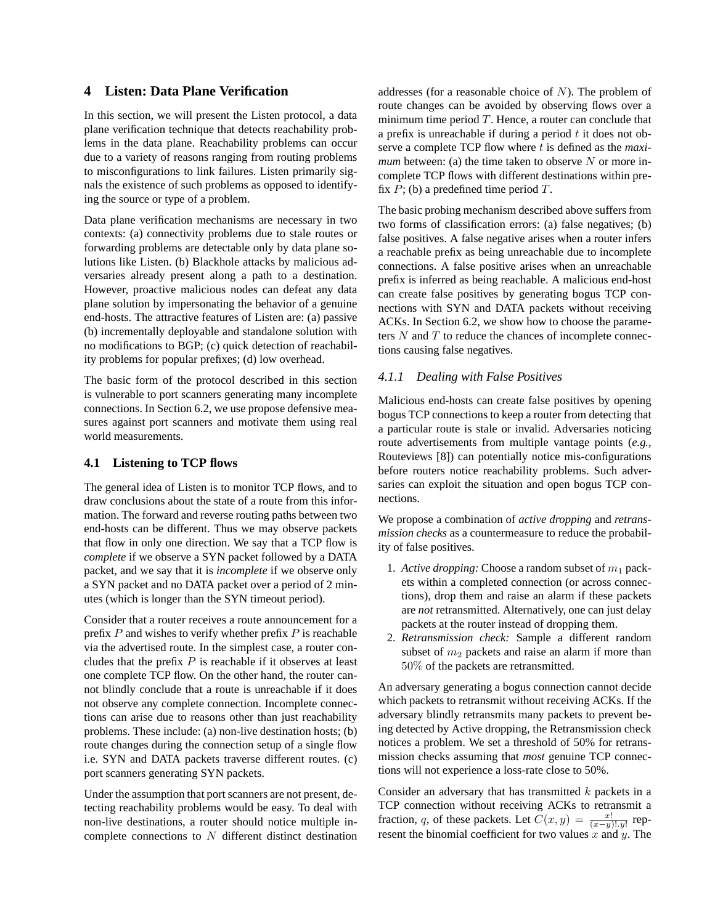# **4 Listen: Data Plane Verification**

In this section, we will present the Listen protocol, a data plane verification technique that detects reachability problems in the data plane. Reachability problems can occur due to a variety of reasons ranging from routing problems to misconfigurations to link failures. Listen primarily signals the existence of such problems as opposed to identifying the source or type of a problem.

Data plane verification mechanisms are necessary in two contexts: (a) connectivity problems due to stale routes or forwarding problems are detectable only by data plane solutions like Listen. (b) Blackhole attacks by malicious adversaries already present along a path to a destination. However, proactive malicious nodes can defeat any data plane solution by impersonating the behavior of a genuine end-hosts. The attractive features of Listen are: (a) passive (b) incrementally deployable and standalone solution with no modifications to BGP; (c) quick detection of reachability problems for popular prefixes; (d) low overhead.

The basic form of the protocol described in this section is vulnerable to port scanners generating many incomplete connections. In Section 6.2, we use propose defensive measures against port scanners and motivate them using real world measurements.

# **4.1 Listening to TCP flows**

The general idea of Listen is to monitor TCP flows, and to draw conclusions about the state of a route from this information. The forward and reverse routing paths between two end-hosts can be different. Thus we may observe packets that flow in only one direction. We say that a TCP flow is *complete* if we observe a SYN packet followed by a DATA packet, and we say that it is *incomplete* if we observe only a SYN packet and no DATA packet over a period of 2 minutes (which is longer than the SYN timeout period).

Consider that a router receives a route announcement for a prefix  $P$  and wishes to verify whether prefix  $P$  is reachable via the advertised route. In the simplest case, a router concludes that the prefix  $P$  is reachable if it observes at least one complete TCP flow. On the other hand, the router cannot blindly conclude that a route is unreachable if it does not observe any complete connection. Incomplete connections can arise due to reasons other than just reachability problems. These include: (a) non-live destination hosts; (b) route changes during the connection setup of a single flow i.e. SYN and DATA packets traverse different routes. (c) port scanners generating SYN packets.

Under the assumption that port scanners are not present, detecting reachability problems would be easy. To deal with non-live destinations, a router should notice multiple incomplete connections to  $N$  different distinct destination addresses (for a reasonable choice of  $N$ ). The problem of route changes can be avoided by observing flows over a minimum time period  $T$ . Hence, a router can conclude that a prefix is unreachable if during a period  $t$  it does not observe a complete TCP flow where t is defined as the *maximum* between: (a) the time taken to observe  $N$  or more incomplete TCP flows with different destinations within prefix  $P$ ; (b) a predefined time period  $T$ .

The basic probing mechanism described above suffers from two forms of classification errors: (a) false negatives; (b) false positives. A false negative arises when a router infers a reachable prefix as being unreachable due to incomplete connections. A false positive arises when an unreachable prefix is inferred as being reachable. A malicious end-host can create false positives by generating bogus TCP connections with SYN and DATA packets without receiving ACKs. In Section 6.2, we show how to choose the parameters  $N$  and  $T$  to reduce the chances of incomplete connections causing false negatives.

#### *4.1.1 Dealing with False Positives*

Malicious end-hosts can create false positives by opening bogus TCP connections to keep a router from detecting that a particular route is stale or invalid. Adversaries noticing route advertisements from multiple vantage points (*e.g.,* Routeviews [8]) can potentially notice mis-configurations before routers notice reachability problems. Such adversaries can exploit the situation and open bogus TCP connections.

We propose a combination of *active dropping* and *retransmission checks* as a countermeasure to reduce the probability of false positives.

- 1. *Active dropping:* Choose a random subset of  $m_1$  packets within a completed connection (or across connections), drop them and raise an alarm if these packets are *not* retransmitted. Alternatively, one can just delay packets at the router instead of dropping them.
- 2. *Retransmission check:* Sample a different random subset of  $m_2$  packets and raise an alarm if more than 50% of the packets are retransmitted.

An adversary generating a bogus connection cannot decide which packets to retransmit without receiving ACKs. If the adversary blindly retransmits many packets to prevent being detected by Active dropping, the Retransmission check notices a problem. We set a threshold of 50% for retransmission checks assuming that *most* genuine TCP connections will not experience a loss-rate close to 50%.

Consider an adversary that has transmitted  $k$  packets in a TCP connection without receiving ACKs to retransmit a fraction, q, of these packets. Let  $C(x, y) = \frac{x!}{(x-y)! \cdot y!}$  represent the binomial coefficient for two values  $x$  and  $y$ . The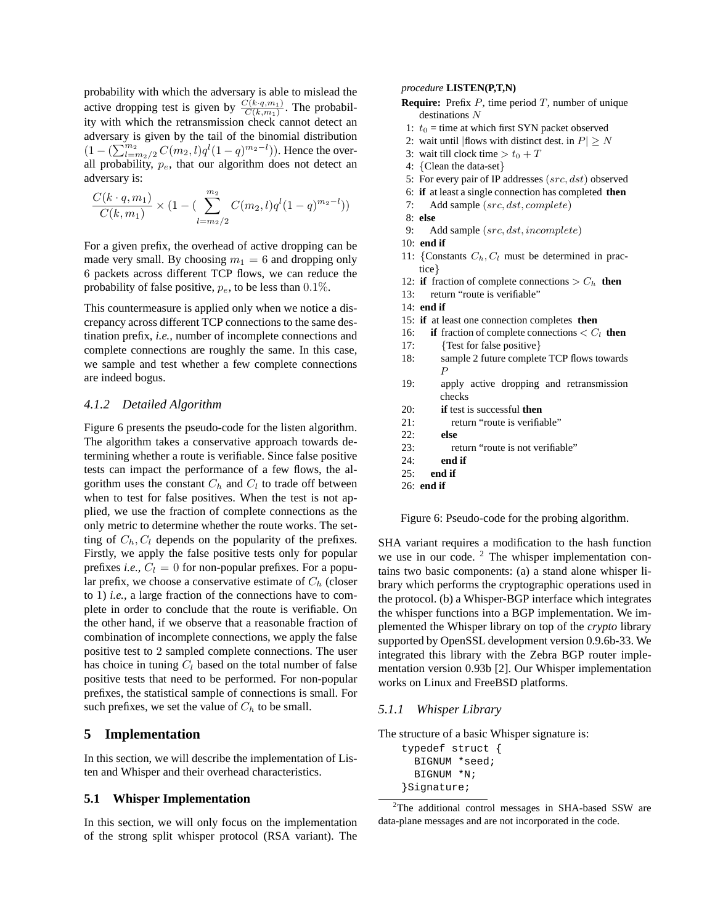probability with which the adversary is able to mislead the active dropping test is given by  $\frac{C(k \cdot q, m_1)}{C(k, m_1)}$ . The probability with which the retransmission check cannot detect an adversary is given by the tail of the binomial distribution duversary is given by the tail of the binomial distribution<br>  $(1 - (\sum_{l=m_{2}/2}^{m_{2}} C(m_{2}, l)q^{l}(1-q)^{m_{2}-l}))$ . Hence the overall probability,  $p_e$ , that our algorithm does not detect an adversary is:

$$
\frac{C(k \cdot q, m_1)}{C(k, m_1)} \times (1 - (\sum_{l=m_2/2}^{m_2} C(m_2, l) q^l (1 - q)^{m_2 - l}))
$$

For a given prefix, the overhead of active dropping can be made very small. By choosing  $m_1 = 6$  and dropping only 6 packets across different TCP flows, we can reduce the probability of false positive,  $p_e$ , to be less than 0.1%.

This countermeasure is applied only when we notice a discrepancy across different TCP connections to the same destination prefix, *i.e.,* number of incomplete connections and complete connections are roughly the same. In this case, we sample and test whether a few complete connections are indeed bogus.

# *4.1.2 Detailed Algorithm*

Figure 6 presents the pseudo-code for the listen algorithm. The algorithm takes a conservative approach towards determining whether a route is verifiable. Since false positive tests can impact the performance of a few flows, the algorithm uses the constant  $C_h$  and  $C_l$  to trade off between when to test for false positives. When the test is not applied, we use the fraction of complete connections as the only metric to determine whether the route works. The setting of  $C_h$ ,  $C_l$  depends on the popularity of the prefixes. Firstly, we apply the false positive tests only for popular prefixes *i.e.*,  $C_l = 0$  for non-popular prefixes. For a popular prefix, we choose a conservative estimate of  $C_h$  (closer to 1) *i.e.,* a large fraction of the connections have to complete in order to conclude that the route is verifiable. On the other hand, if we observe that a reasonable fraction of combination of incomplete connections, we apply the false positive test to 2 sampled complete connections. The user has choice in tuning  $C_l$  based on the total number of false positive tests that need to be performed. For non-popular prefixes, the statistical sample of connections is small. For such prefixes, we set the value of  $C_h$  to be small.

# **5 Implementation**

In this section, we will describe the implementation of Listen and Whisper and their overhead characteristics.

# **5.1 Whisper Implementation**

In this section, we will only focus on the implementation of the strong split whisper protocol (RSA variant). The

#### *procedure* **LISTEN(P,T,N)**

- **Require:** Prefix P, time period T, number of unique destinations  $N$
- 1:  $t_0$  = time at which first SYN packet observed
- 2: wait until | flows with distinct dest. in  $P \geq N$
- 3: wait till clock time  $> t_0 + T$
- 4: {Clean the data-set}
- 5: For every pair of IP addresses (src, dst) observed
- 6: **if** at least a single connection has completed **then**
- 7: Add sample (src, dst, complete)
- 8: **else**
- 9: Add sample (src, dst, incomplete)
- 10: **end if**
- 11: {Constants  $C_h$ ,  $C_l$  must be determined in practice}
- 12: **if** fraction of complete connections  $>C_h$  **then**
- 13: return "route is verifiable"
- 14: **end if**
- 15: **if** at least one connection completes **then**
- 16: **if** fraction of complete connections  $\langle C_l \rangle$  then
- 17: {Test for false positive}
- 18: sample 2 future complete TCP flows towards P
- 19: apply active dropping and retransmission checks
- 20: **if** test is successful **then**
- 21: return "route is verifiable"
- 22: **else**
- 23: return "route is not verifiable"
- 24: **end if**
- 25: **end if**
- 26: **end if**

Figure 6: Pseudo-code for the probing algorithm.

SHA variant requires a modification to the hash function we use in our code.  $2$  The whisper implementation contains two basic components: (a) a stand alone whisper library which performs the cryptographic operations used in the protocol. (b) a Whisper-BGP interface which integrates the whisper functions into a BGP implementation. We implemented the Whisper library on top of the *crypto* library supported by OpenSSL development version 0.9.6b-33. We integrated this library with the Zebra BGP router implementation version 0.93b [2]. Our Whisper implementation works on Linux and FreeBSD platforms.

#### *5.1.1 Whisper Library*

The structure of a basic Whisper signature is:

typedef struct { BIGNUM \*seed; BIGNUM \*N; }Signature;

<sup>2</sup>The additional control messages in SHA-based SSW are data-plane messages and are not incorporated in the code.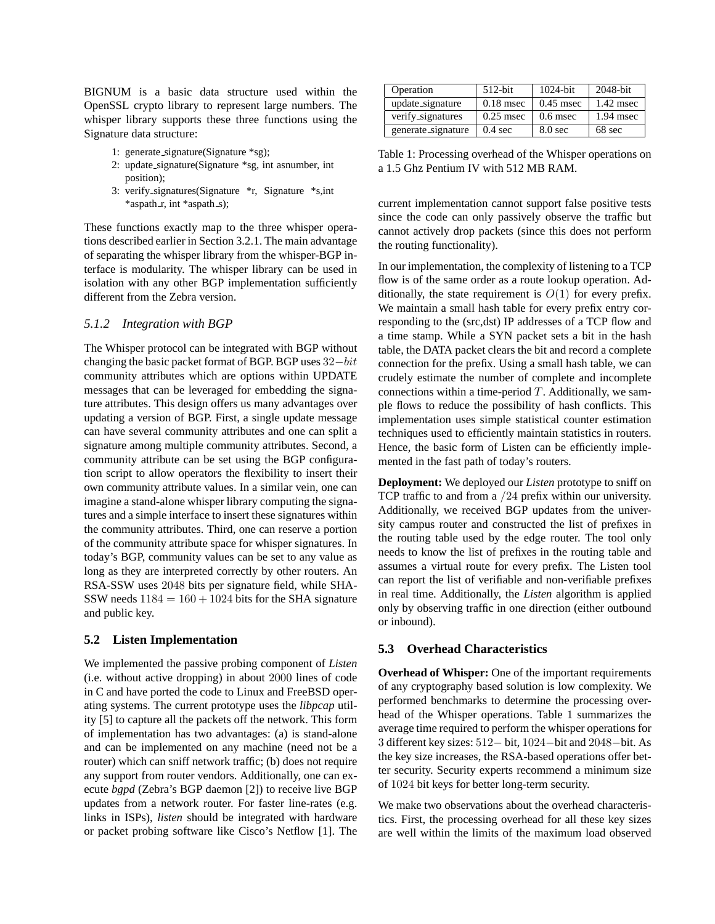BIGNUM is a basic data structure used within the OpenSSL crypto library to represent large numbers. The whisper library supports these three functions using the Signature data structure:

- 1: generate signature(Signature \*sg);
- 2: update signature(Signature \*sg, int asnumber, int position);
- 3: verify signatures(Signature \*r, Signature \*s,int \*aspath\_r, int \*aspath\_s);

These functions exactly map to the three whisper operations described earlier in Section 3.2.1. The main advantage of separating the whisper library from the whisper-BGP interface is modularity. The whisper library can be used in isolation with any other BGP implementation sufficiently different from the Zebra version.

# *5.1.2 Integration with BGP*

The Whisper protocol can be integrated with BGP without changing the basic packet format of BGP. BGP uses 32−bit community attributes which are options within UPDATE messages that can be leveraged for embedding the signature attributes. This design offers us many advantages over updating a version of BGP. First, a single update message can have several community attributes and one can split a signature among multiple community attributes. Second, a community attribute can be set using the BGP configuration script to allow operators the flexibility to insert their own community attribute values. In a similar vein, one can imagine a stand-alone whisper library computing the signatures and a simple interface to insert these signatures within the community attributes. Third, one can reserve a portion of the community attribute space for whisper signatures. In today's BGP, community values can be set to any value as long as they are interpreted correctly by other routers. An RSA-SSW uses 2048 bits per signature field, while SHA-SSW needs  $1184 = 160 + 1024$  bits for the SHA signature and public key.

#### **5.2 Listen Implementation**

We implemented the passive probing component of *Listen* (i.e. without active dropping) in about 2000 lines of code in C and have ported the code to Linux and FreeBSD operating systems. The current prototype uses the *libpcap* utility [5] to capture all the packets off the network. This form of implementation has two advantages: (a) is stand-alone and can be implemented on any machine (need not be a router) which can sniff network traffic; (b) does not require any support from router vendors. Additionally, one can execute *bgpd* (Zebra's BGP daemon [2]) to receive live BGP updates from a network router. For faster line-rates (e.g. links in ISPs), *listen* should be integrated with hardware or packet probing software like Cisco's Netflow [1]. The

| Operation          | $512$ -bit        | $1024$ -bit        | 2048-bit    |
|--------------------|-------------------|--------------------|-------------|
| update_signature   | $0.18$ msec       | $0.45$ msec        | $1.42$ msec |
| verify_signatures  | $0.25$ msec       | $0.6$ msec         | $1.94$ msec |
| generate_signature | $0.4 \text{ sec}$ | 8.0 <sub>sec</sub> | 68 sec      |

Table 1: Processing overhead of the Whisper operations on a 1.5 Ghz Pentium IV with 512 MB RAM.

current implementation cannot support false positive tests since the code can only passively observe the traffic but cannot actively drop packets (since this does not perform the routing functionality).

In our implementation, the complexity of listening to a TCP flow is of the same order as a route lookup operation. Additionally, the state requirement is  $O(1)$  for every prefix. We maintain a small hash table for every prefix entry corresponding to the (src,dst) IP addresses of a TCP flow and a time stamp. While a SYN packet sets a bit in the hash table, the DATA packet clears the bit and record a complete connection for the prefix. Using a small hash table, we can crudely estimate the number of complete and incomplete connections within a time-period  $T$ . Additionally, we sample flows to reduce the possibility of hash conflicts. This implementation uses simple statistical counter estimation techniques used to efficiently maintain statistics in routers. Hence, the basic form of Listen can be efficiently implemented in the fast path of today's routers.

**Deployment:** We deployed our *Listen* prototype to sniff on TCP traffic to and from a /24 prefix within our university. Additionally, we received BGP updates from the university campus router and constructed the list of prefixes in the routing table used by the edge router. The tool only needs to know the list of prefixes in the routing table and assumes a virtual route for every prefix. The Listen tool can report the list of verifiable and non-verifiable prefixes in real time. Additionally, the *Listen* algorithm is applied only by observing traffic in one direction (either outbound or inbound).

# **5.3 Overhead Characteristics**

**Overhead of Whisper:** One of the important requirements of any cryptography based solution is low complexity. We performed benchmarks to determine the processing overhead of the Whisper operations. Table 1 summarizes the average time required to perform the whisper operations for 3 different key sizes: 512− bit, 1024−bit and 2048−bit. As the key size increases, the RSA-based operations offer better security. Security experts recommend a minimum size of 1024 bit keys for better long-term security.

We make two observations about the overhead characteristics. First, the processing overhead for all these key sizes are well within the limits of the maximum load observed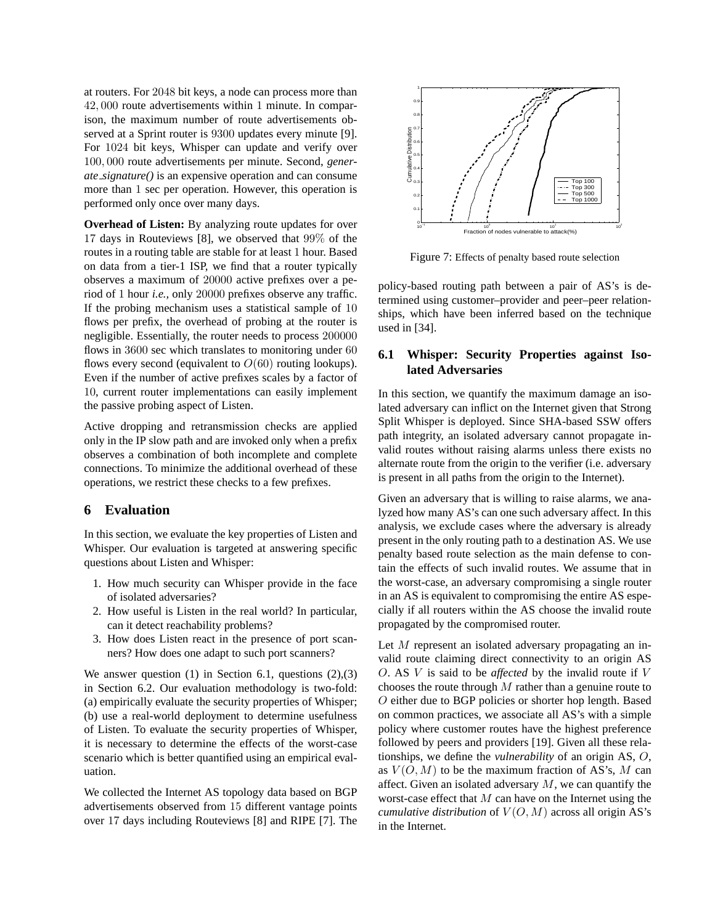at routers. For 2048 bit keys, a node can process more than 42, 000 route advertisements within 1 minute. In comparison, the maximum number of route advertisements observed at a Sprint router is 9300 updates every minute [9]. For 1024 bit keys, Whisper can update and verify over 100, 000 route advertisements per minute. Second, *generate signature()* is an expensive operation and can consume more than 1 sec per operation. However, this operation is performed only once over many days.

**Overhead of Listen:** By analyzing route updates for over 17 days in Routeviews [8], we observed that 99% of the routes in a routing table are stable for at least 1 hour. Based on data from a tier-1 ISP, we find that a router typically observes a maximum of 20000 active prefixes over a period of 1 hour *i.e.,* only 20000 prefixes observe any traffic. If the probing mechanism uses a statistical sample of 10 flows per prefix, the overhead of probing at the router is negligible. Essentially, the router needs to process 200000 flows in 3600 sec which translates to monitoring under 60 flows every second (equivalent to  $O(60)$  routing lookups). Even if the number of active prefixes scales by a factor of 10, current router implementations can easily implement the passive probing aspect of Listen.

Active dropping and retransmission checks are applied only in the IP slow path and are invoked only when a prefix observes a combination of both incomplete and complete connections. To minimize the additional overhead of these operations, we restrict these checks to a few prefixes.

# **6 Evaluation**

In this section, we evaluate the key properties of Listen and Whisper. Our evaluation is targeted at answering specific questions about Listen and Whisper:

- 1. How much security can Whisper provide in the face of isolated adversaries?
- 2. How useful is Listen in the real world? In particular, can it detect reachability problems?
- 3. How does Listen react in the presence of port scanners? How does one adapt to such port scanners?

We answer question  $(1)$  in Section 6.1, questions  $(2),(3)$ in Section 6.2. Our evaluation methodology is two-fold: (a) empirically evaluate the security properties of Whisper; (b) use a real-world deployment to determine usefulness of Listen. To evaluate the security properties of Whisper, it is necessary to determine the effects of the worst-case scenario which is better quantified using an empirical evaluation.

We collected the Internet AS topology data based on BGP advertisements observed from 15 different vantage points over 17 days including Routeviews [8] and RIPE [7]. The



Figure 7: Effects of penalty based route selection

policy-based routing path between a pair of AS's is determined using customer–provider and peer–peer relationships, which have been inferred based on the technique used in [34].

# **6.1 Whisper: Security Properties against Isolated Adversaries**

In this section, we quantify the maximum damage an isolated adversary can inflict on the Internet given that Strong Split Whisper is deployed. Since SHA-based SSW offers path integrity, an isolated adversary cannot propagate invalid routes without raising alarms unless there exists no alternate route from the origin to the verifier (i.e. adversary is present in all paths from the origin to the Internet).

Given an adversary that is willing to raise alarms, we analyzed how many AS's can one such adversary affect. In this analysis, we exclude cases where the adversary is already present in the only routing path to a destination AS. We use penalty based route selection as the main defense to contain the effects of such invalid routes. We assume that in the worst-case, an adversary compromising a single router in an AS is equivalent to compromising the entire AS especially if all routers within the AS choose the invalid route propagated by the compromised router.

Let M represent an isolated adversary propagating an invalid route claiming direct connectivity to an origin AS O. AS V is said to be *affected* by the invalid route if V chooses the route through  $M$  rather than a genuine route to O either due to BGP policies or shorter hop length. Based on common practices, we associate all AS's with a simple policy where customer routes have the highest preference followed by peers and providers [19]. Given all these relationships, we define the *vulnerability* of an origin AS, O, as  $V(O, M)$  to be the maximum fraction of AS's, M can affect. Given an isolated adversary  $M$ , we can quantify the worst-case effect that  $M$  can have on the Internet using the *cumulative distribution* of  $V(O, M)$  across all origin AS's in the Internet.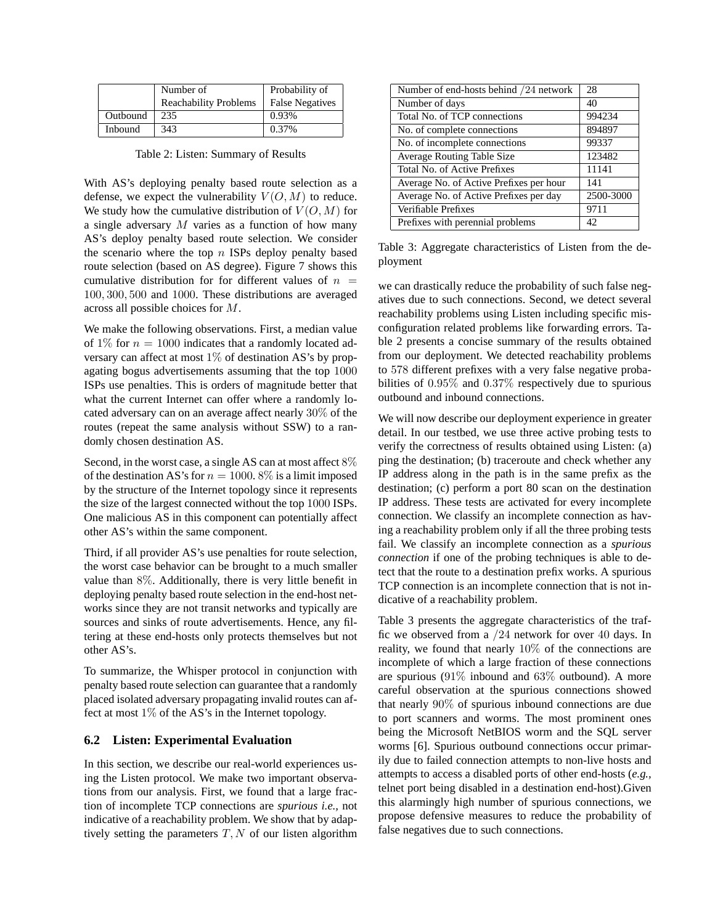|                | Number of                    | Probability of         |
|----------------|------------------------------|------------------------|
|                | <b>Reachability Problems</b> | <b>False Negatives</b> |
| Outbound       | 235                          | 0.93%                  |
| <b>Inbound</b> | 343                          | 0.37%                  |

Table 2: Listen: Summary of Results

With AS's deploying penalty based route selection as a defense, we expect the vulnerability  $V(O, M)$  to reduce. We study how the cumulative distribution of  $V(O, M)$  for a single adversary  $M$  varies as a function of how many AS's deploy penalty based route selection. We consider the scenario where the top  $n$  ISPs deploy penalty based route selection (based on AS degree). Figure 7 shows this cumulative distribution for for different values of  $n =$ 100, 300, 500 and 1000. These distributions are averaged across all possible choices for M.

We make the following observations. First, a median value of 1% for  $n = 1000$  indicates that a randomly located adversary can affect at most  $1\%$  of destination AS's by propagating bogus advertisements assuming that the top 1000 ISPs use penalties. This is orders of magnitude better that what the current Internet can offer where a randomly located adversary can on an average affect nearly 30% of the routes (repeat the same analysis without SSW) to a randomly chosen destination AS.

Second, in the worst case, a single AS can at most affect  $8\%$ of the destination AS's for  $n = 1000$ . 8% is a limit imposed by the structure of the Internet topology since it represents the size of the largest connected without the top 1000 ISPs. One malicious AS in this component can potentially affect other AS's within the same component.

Third, if all provider AS's use penalties for route selection, the worst case behavior can be brought to a much smaller value than 8%. Additionally, there is very little benefit in deploying penalty based route selection in the end-host networks since they are not transit networks and typically are sources and sinks of route advertisements. Hence, any filtering at these end-hosts only protects themselves but not other AS's.

To summarize, the Whisper protocol in conjunction with penalty based route selection can guarantee that a randomly placed isolated adversary propagating invalid routes can affect at most  $1\%$  of the AS's in the Internet topology.

# **6.2 Listen: Experimental Evaluation**

In this section, we describe our real-world experiences using the Listen protocol. We make two important observations from our analysis. First, we found that a large fraction of incomplete TCP connections are *spurious i.e.,* not indicative of a reachability problem. We show that by adaptively setting the parameters  $T, N$  of our listen algorithm

| Number of end-hosts behind /24 network  | 28        |
|-----------------------------------------|-----------|
| Number of days                          | 40        |
| Total No. of TCP connections            | 994234    |
| No. of complete connections             | 894897    |
| No. of incomplete connections           | 99337     |
| <b>Average Routing Table Size</b>       | 123482    |
| Total No. of Active Prefixes            | 11141     |
| Average No. of Active Prefixes per hour | 141       |
| Average No. of Active Prefixes per day  | 2500-3000 |
| Verifiable Prefixes                     | 9711      |
| Prefixes with perennial problems        | 42        |

Table 3: Aggregate characteristics of Listen from the deployment

we can drastically reduce the probability of such false negatives due to such connections. Second, we detect several reachability problems using Listen including specific misconfiguration related problems like forwarding errors. Table 2 presents a concise summary of the results obtained from our deployment. We detected reachability problems to 578 different prefixes with a very false negative probabilities of 0.95% and 0.37% respectively due to spurious outbound and inbound connections.

We will now describe our deployment experience in greater detail. In our testbed, we use three active probing tests to verify the correctness of results obtained using Listen: (a) ping the destination; (b) traceroute and check whether any IP address along in the path is in the same prefix as the destination; (c) perform a port 80 scan on the destination IP address. These tests are activated for every incomplete connection. We classify an incomplete connection as having a reachability problem only if all the three probing tests fail. We classify an incomplete connection as a *spurious connection* if one of the probing techniques is able to detect that the route to a destination prefix works. A spurious TCP connection is an incomplete connection that is not indicative of a reachability problem.

Table 3 presents the aggregate characteristics of the traffic we observed from a /24 network for over 40 days. In reality, we found that nearly 10% of the connections are incomplete of which a large fraction of these connections are spurious (91% inbound and 63% outbound). A more careful observation at the spurious connections showed that nearly 90% of spurious inbound connections are due to port scanners and worms. The most prominent ones being the Microsoft NetBIOS worm and the SQL server worms [6]. Spurious outbound connections occur primarily due to failed connection attempts to non-live hosts and attempts to access a disabled ports of other end-hosts (*e.g.,* telnet port being disabled in a destination end-host).Given this alarmingly high number of spurious connections, we propose defensive measures to reduce the probability of false negatives due to such connections.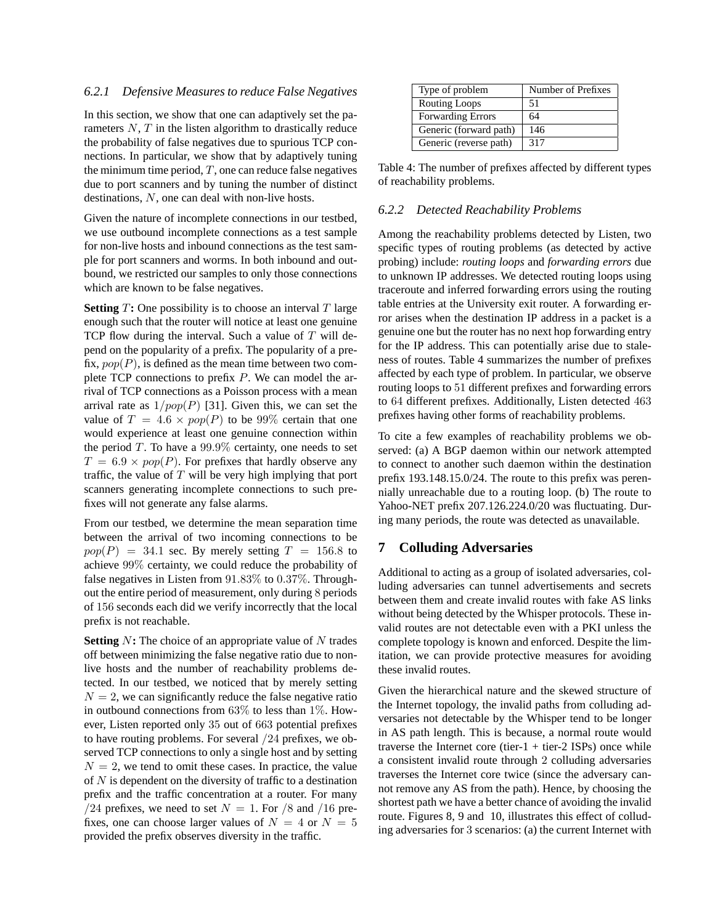#### *6.2.1 Defensive Measures to reduce False Negatives*

In this section, we show that one can adaptively set the parameters  $N$ ,  $T$  in the listen algorithm to drastically reduce the probability of false negatives due to spurious TCP connections. In particular, we show that by adaptively tuning the minimum time period,  $T$ , one can reduce false negatives due to port scanners and by tuning the number of distinct destinations, N, one can deal with non-live hosts.

Given the nature of incomplete connections in our testbed, we use outbound incomplete connections as a test sample for non-live hosts and inbound connections as the test sample for port scanners and worms. In both inbound and outbound, we restricted our samples to only those connections which are known to be false negatives.

**Setting**  $T$ : One possibility is to choose an interval  $T$  large enough such that the router will notice at least one genuine TCP flow during the interval. Such a value of  $T$  will depend on the popularity of a prefix. The popularity of a prefix,  $pop(P)$ , is defined as the mean time between two complete TCP connections to prefix P. We can model the arrival of TCP connections as a Poisson process with a mean arrival rate as  $1/pop(P)$  [31]. Given this, we can set the value of  $T = 4.6 \times pop(P)$  to be 99% certain that one would experience at least one genuine connection within the period  $T$ . To have a 99.9% certainty, one needs to set  $T = 6.9 \times pop(P)$ . For prefixes that hardly observe any traffic, the value of  $T$  will be very high implying that port scanners generating incomplete connections to such prefixes will not generate any false alarms.

From our testbed, we determine the mean separation time between the arrival of two incoming connections to be  $pop(P) = 34.1$  sec. By merely setting  $T = 156.8$  to achieve 99% certainty, we could reduce the probability of false negatives in Listen from 91.83% to 0.37%. Throughout the entire period of measurement, only during 8 periods of 156 seconds each did we verify incorrectly that the local prefix is not reachable.

**Setting** N: The choice of an appropriate value of N trades off between minimizing the false negative ratio due to nonlive hosts and the number of reachability problems detected. In our testbed, we noticed that by merely setting  $N = 2$ , we can significantly reduce the false negative ratio in outbound connections from 63% to less than 1%. However, Listen reported only 35 out of 663 potential prefixes to have routing problems. For several /24 prefixes, we observed TCP connections to only a single host and by setting  $N = 2$ , we tend to omit these cases. In practice, the value of  $N$  is dependent on the diversity of traffic to a destination prefix and the traffic concentration at a router. For many /24 prefixes, we need to set  $N = 1$ . For /8 and /16 prefixes, one can choose larger values of  $N = 4$  or  $N = 5$ provided the prefix observes diversity in the traffic.

| Type of problem          | Number of Prefixes |
|--------------------------|--------------------|
| <b>Routing Loops</b>     | 51                 |
| <b>Forwarding Errors</b> | 64                 |
| Generic (forward path)   | 146                |
| Generic (reverse path)   | 317                |

Table 4: The number of prefixes affected by different types of reachability problems.

# *6.2.2 Detected Reachability Problems*

Among the reachability problems detected by Listen, two specific types of routing problems (as detected by active probing) include: *routing loops* and *forwarding errors* due to unknown IP addresses. We detected routing loops using traceroute and inferred forwarding errors using the routing table entries at the University exit router. A forwarding error arises when the destination IP address in a packet is a genuine one but the router has no next hop forwarding entry for the IP address. This can potentially arise due to staleness of routes. Table 4 summarizes the number of prefixes affected by each type of problem. In particular, we observe routing loops to 51 different prefixes and forwarding errors to 64 different prefixes. Additionally, Listen detected 463 prefixes having other forms of reachability problems.

To cite a few examples of reachability problems we observed: (a) A BGP daemon within our network attempted to connect to another such daemon within the destination prefix 193.148.15.0/24. The route to this prefix was perennially unreachable due to a routing loop. (b) The route to Yahoo-NET prefix 207.126.224.0/20 was fluctuating. During many periods, the route was detected as unavailable.

# **7 Colluding Adversaries**

Additional to acting as a group of isolated adversaries, colluding adversaries can tunnel advertisements and secrets between them and create invalid routes with fake AS links without being detected by the Whisper protocols. These invalid routes are not detectable even with a PKI unless the complete topology is known and enforced. Despite the limitation, we can provide protective measures for avoiding these invalid routes.

Given the hierarchical nature and the skewed structure of the Internet topology, the invalid paths from colluding adversaries not detectable by the Whisper tend to be longer in AS path length. This is because, a normal route would traverse the Internet core (tier- $1 +$  tier- $2$  ISPs) once while a consistent invalid route through 2 colluding adversaries traverses the Internet core twice (since the adversary cannot remove any AS from the path). Hence, by choosing the shortest path we have a better chance of avoiding the invalid route. Figures 8, 9 and 10, illustrates this effect of colluding adversaries for 3 scenarios: (a) the current Internet with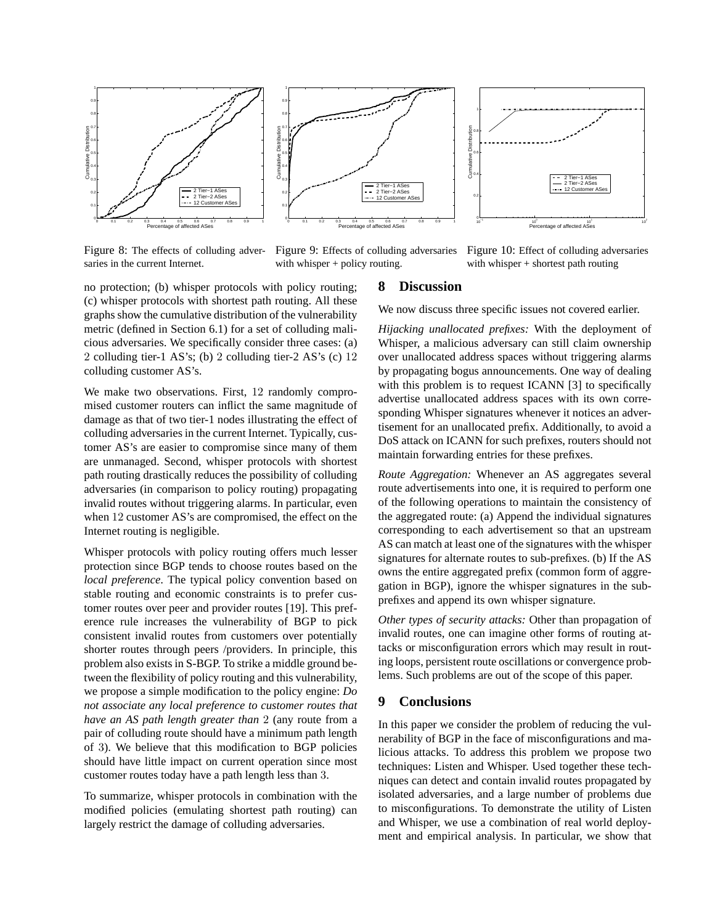



Figure 8: The effects of colluding adversaries in the current Internet.

Figure 9: Effects of colluding adversaries with whisper + policy routing.

Figure 10: Effect of colluding adversaries with whisper + shortest path routing

no protection; (b) whisper protocols with policy routing; (c) whisper protocols with shortest path routing. All these graphs show the cumulative distribution of the vulnerability metric (defined in Section 6.1) for a set of colluding malicious adversaries. We specifically consider three cases: (a) 2 colluding tier-1 AS's; (b) 2 colluding tier-2 AS's (c) 12 colluding customer AS's.

We make two observations. First, 12 randomly compromised customer routers can inflict the same magnitude of damage as that of two tier-1 nodes illustrating the effect of colluding adversaries in the current Internet. Typically, customer AS's are easier to compromise since many of them are unmanaged. Second, whisper protocols with shortest path routing drastically reduces the possibility of colluding adversaries (in comparison to policy routing) propagating invalid routes without triggering alarms. In particular, even when 12 customer AS's are compromised, the effect on the Internet routing is negligible.

Whisper protocols with policy routing offers much lesser protection since BGP tends to choose routes based on the *local preference*. The typical policy convention based on stable routing and economic constraints is to prefer customer routes over peer and provider routes [19]. This preference rule increases the vulnerability of BGP to pick consistent invalid routes from customers over potentially shorter routes through peers /providers. In principle, this problem also exists in S-BGP. To strike a middle ground between the flexibility of policy routing and this vulnerability, we propose a simple modification to the policy engine: *Do not associate any local preference to customer routes that have an AS path length greater than* 2 (any route from a pair of colluding route should have a minimum path length of 3). We believe that this modification to BGP policies should have little impact on current operation since most customer routes today have a path length less than 3.

To summarize, whisper protocols in combination with the modified policies (emulating shortest path routing) can largely restrict the damage of colluding adversaries.

# **8 Discussion**

We now discuss three specific issues not covered earlier.

*Hijacking unallocated prefixes:* With the deployment of Whisper, a malicious adversary can still claim ownership over unallocated address spaces without triggering alarms by propagating bogus announcements. One way of dealing with this problem is to request ICANN [3] to specifically advertise unallocated address spaces with its own corresponding Whisper signatures whenever it notices an advertisement for an unallocated prefix. Additionally, to avoid a DoS attack on ICANN for such prefixes, routers should not maintain forwarding entries for these prefixes.

*Route Aggregation:* Whenever an AS aggregates several route advertisements into one, it is required to perform one of the following operations to maintain the consistency of the aggregated route: (a) Append the individual signatures corresponding to each advertisement so that an upstream AS can match at least one of the signatures with the whisper signatures for alternate routes to sub-prefixes. (b) If the AS owns the entire aggregated prefix (common form of aggregation in BGP), ignore the whisper signatures in the subprefixes and append its own whisper signature.

*Other types of security attacks:* Other than propagation of invalid routes, one can imagine other forms of routing attacks or misconfiguration errors which may result in routing loops, persistent route oscillations or convergence problems. Such problems are out of the scope of this paper.

# **9 Conclusions**

In this paper we consider the problem of reducing the vulnerability of BGP in the face of misconfigurations and malicious attacks. To address this problem we propose two techniques: Listen and Whisper. Used together these techniques can detect and contain invalid routes propagated by isolated adversaries, and a large number of problems due to misconfigurations. To demonstrate the utility of Listen and Whisper, we use a combination of real world deployment and empirical analysis. In particular, we show that